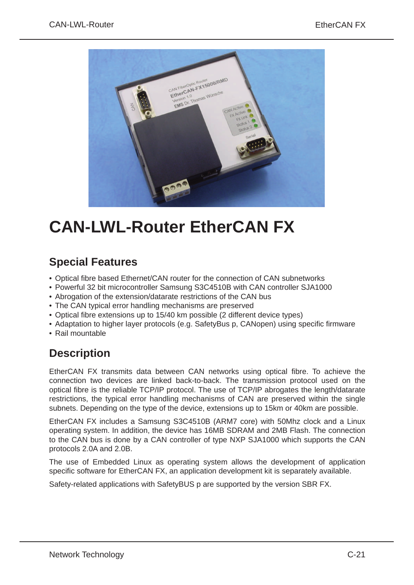

# **CAN‑LWL‑Router EtherCAN FX**

### **Special Features**

- Optical fibre based Ethernet/CAN router for the connection of CAN subnetworks
- Powerful 32 bit microcontroller Samsung S3C4510B with CAN controller SJA1000
- Abrogation of the extension/datarate restrictions of the CAN bus
- The CAN typical error handling mechanisms are preserved
- Optical fibre extensions up to 15/40 km possible (2 different device types)
- Adaptation to higher layer protocols (e.g. SafetyBus p, CANopen) using specific firmware
- Rail mountable

## **Description**

EtherCAN FX transmits data between CAN networks using optical fibre. To achieve the connection two devices are linked back-to-back. The transmission protocol used on the optical fibre is the reliable TCP/IP protocol. The use of TCP/IP abrogates the length/datarate restrictions, the typical error handling mechanisms of CAN are preserved within the single subnets. Depending on the type of the device, extensions up to 15km or 40km are possible.

EtherCAN FX includes a Samsung S3C4510B (ARM7 core) with 50Mhz clock and a Linux operating system. In addition, the device has 16MB SDRAM and 2MB Flash. The connection to the CAN bus is done by a CAN controller of type NXP SJA1000 which supports the CAN protocols 2.0A and 2.0B.

The use of Embedded Linux as operating system allows the development of application specific software for EtherCAN FX, an application development kit is separately available.

Safety-related applications with SafetyBUS p are supported by the version SBR FX.